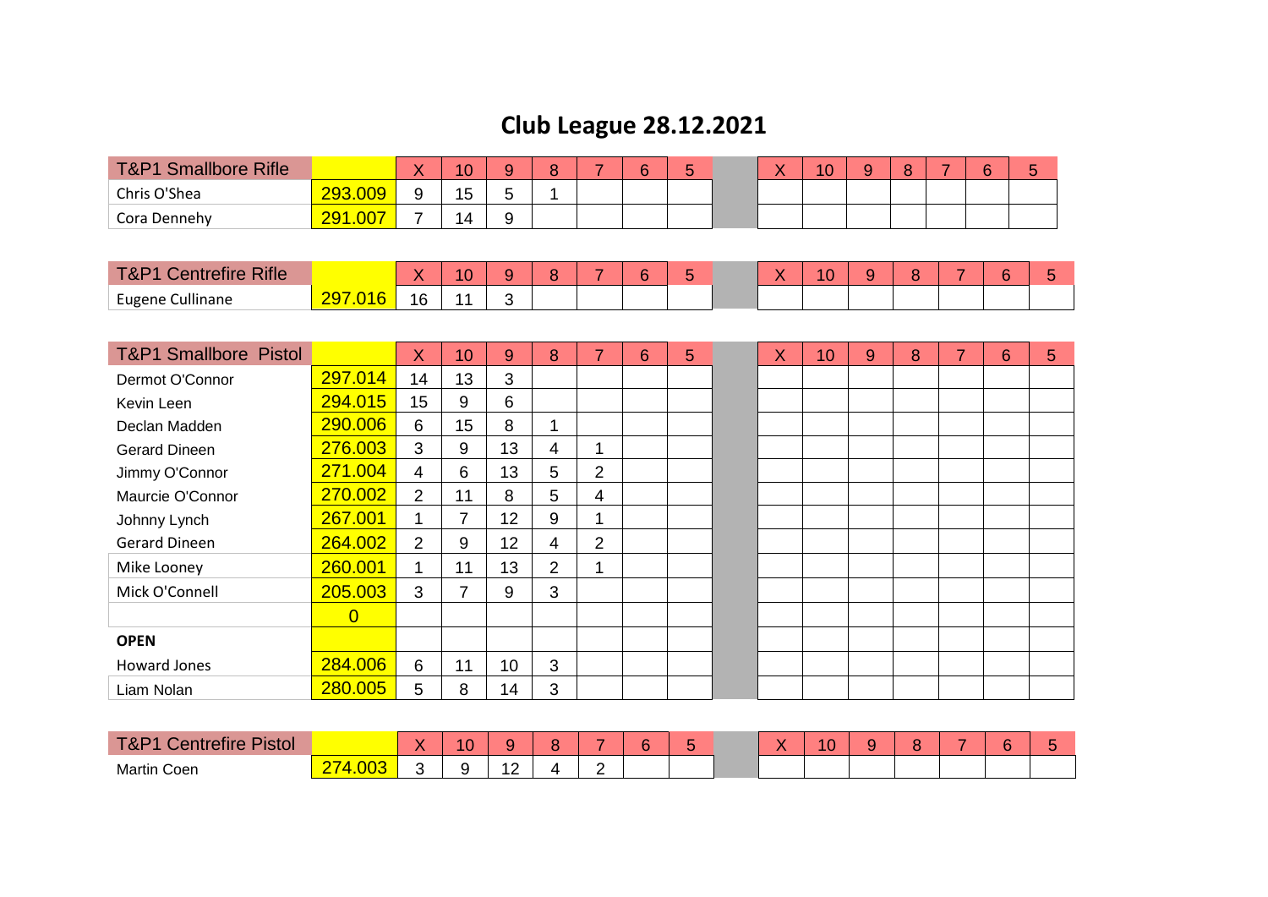## **Club League 28.12.2021**

| <b>T&amp;P1</b><br><b>Smallbore Rifle</b> |                     | $\mathbf{v}$<br>$\lambda$ | 10      |        | $\sim$ | 6 | $\overline{\phantom{a}}$<br><b>.</b><br>ັ |  | 10 | υ |  |  |
|-------------------------------------------|---------------------|---------------------------|---------|--------|--------|---|-------------------------------------------|--|----|---|--|--|
| Chris O'Shea                              | 293.009<br>ാഗു      |                           | 15<br>◡ | ີ      |        |   |                                           |  |    |   |  |  |
| Cora Dennehv                              | <u>1.007</u><br>201 | -                         | 14      | u<br>ີ |        |   |                                           |  |    |   |  |  |

| <b>Rifle</b><br>$\tau$ .<br><b>Service Controllers</b><br>w |                 | $\sqrt{2}$ | . . | $\sim$ |  |  | $\sim$<br>. . |  | - | ∽ |  |
|-------------------------------------------------------------|-----------------|------------|-----|--------|--|--|---------------|--|---|---|--|
| Cullinane<br>Eugene                                         | $6\phantom{.}6$ |            |     |        |  |  |               |  |   |   |  |

| <b>T&amp;P1 Smallbore Pistol</b> |                | X              | 10 | 9               | 8              | $\overline{7}$ | 6 | 5 | X | 10 | 9 | 8 | $\overline{\phantom{a}}$ | 6 | 5 |
|----------------------------------|----------------|----------------|----|-----------------|----------------|----------------|---|---|---|----|---|---|--------------------------|---|---|
| Dermot O'Connor                  | 297.014        | 14             | 13 | 3               |                |                |   |   |   |    |   |   |                          |   |   |
| Kevin Leen                       | 294.015        | 15             | 9  | 6               |                |                |   |   |   |    |   |   |                          |   |   |
| Declan Madden                    | 290.006        | 6              | 15 | 8               | ۸              |                |   |   |   |    |   |   |                          |   |   |
| <b>Gerard Dineen</b>             | 276.003        | 3              | 9  | 13              | 4              | 1              |   |   |   |    |   |   |                          |   |   |
| Jimmy O'Connor                   | 271.004        | $\overline{4}$ | 6  | 13              | 5              | 2              |   |   |   |    |   |   |                          |   |   |
| Maurcie O'Connor                 | 270.002        | 2              | 11 | 8               | 5              | 4              |   |   |   |    |   |   |                          |   |   |
| Johnny Lynch                     | 267.001        | 1              | 7  | 12              | 9              | ◢              |   |   |   |    |   |   |                          |   |   |
| Gerard Dineen                    | 264.002        | 2              | 9  | 12 <sub>2</sub> | 4              | 2              |   |   |   |    |   |   |                          |   |   |
| Mike Looney                      | 260.001        | 4              | 11 | 13              | $\overline{2}$ | ◢              |   |   |   |    |   |   |                          |   |   |
| Mick O'Connell                   | 205.003        | 3              |    | 9               | 3              |                |   |   |   |    |   |   |                          |   |   |
|                                  | $\overline{0}$ |                |    |                 |                |                |   |   |   |    |   |   |                          |   |   |
| <b>OPEN</b>                      |                |                |    |                 |                |                |   |   |   |    |   |   |                          |   |   |
| Howard Jones                     | 284.006        | 6              | 11 | 10              | 3              |                |   |   |   |    |   |   |                          |   |   |
| Liam Nolan                       | 280.005        | 5              | 8  | 14              | 3              |                |   |   |   |    |   |   |                          |   |   |

| <b>Pistol</b><br><b>T&amp;P1</b><br>-<br>'entrefire' |           | 10 |                    | $\overline{\phantom{a}}$ |  |  |  |  | 47 |  |
|------------------------------------------------------|-----------|----|--------------------|--------------------------|--|--|--|--|----|--|
| Martin<br>$\sim$<br>∘Coen                            | .003<br>- |    | $\sim$<br><u>_</u> | -                        |  |  |  |  |    |  |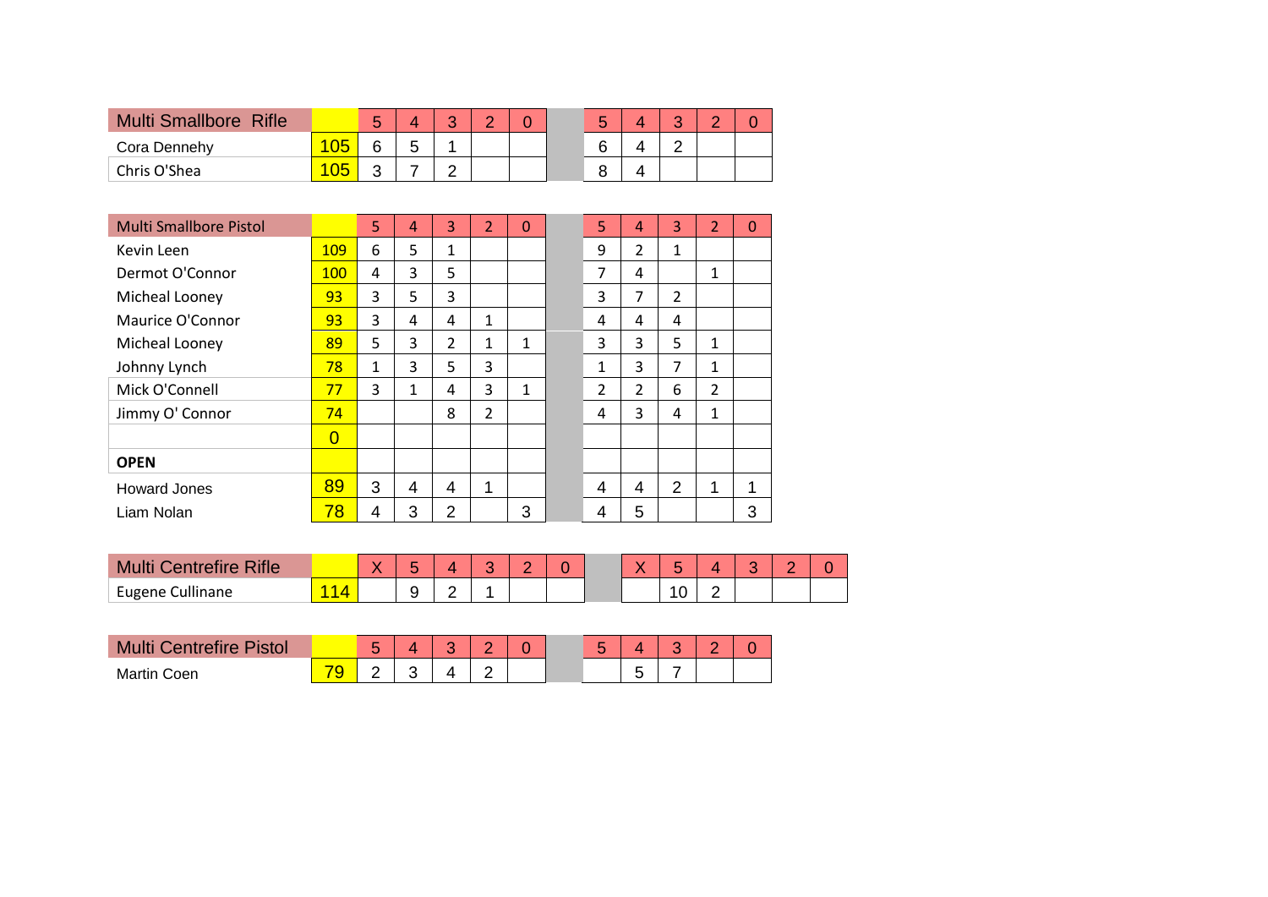| <b>Multi Smallbore Rifle</b> |   |   | $\sqrt{2}$ | $\sim$ |  |  |  |  |
|------------------------------|---|---|------------|--------|--|--|--|--|
| Cora Dennehy                 | ∽ | ∽ |            |        |  |  |  |  |
| Chris O'Shea                 | ⌒ |   | ⌒          |        |  |  |  |  |

| <b>Multi Smallbore Pistol</b> |                | 5 | 4 | 3              | $\overline{2}$ | 0 | 5              | 4              | 3              | $\overline{\mathcal{L}}$ | 0 |
|-------------------------------|----------------|---|---|----------------|----------------|---|----------------|----------------|----------------|--------------------------|---|
| Kevin Leen                    | <b>109</b>     | 6 | 5 | 1              |                |   | 9              | $\overline{2}$ | 1              |                          |   |
| Dermot O'Connor               | 100            | 4 | 3 | 5              |                |   | $\overline{7}$ | 4              |                | 1                        |   |
| Micheal Looney                | 93             | 3 | 5 | 3              |                |   | 3              | 7              | $\overline{2}$ |                          |   |
| Maurice O'Connor              | 93             | 3 | 4 | 4              | 1              |   | 4              | 4              | 4              |                          |   |
| Micheal Looney                | 89             | 5 | 3 | $\overline{2}$ | 1              | 1 | 3              | 3              | 5              | 1                        |   |
| Johnny Lynch                  | 78             | 1 | 3 | 5              | 3              |   | 1              | 3              | 7              | 1                        |   |
| Mick O'Connell                | 77             | 3 | 1 | 4              | 3              | 1 | $\mathfrak{D}$ | $\mathcal{P}$  | 6              | $\overline{2}$           |   |
| Jimmy O' Connor               | 74             |   |   | 8              | $\overline{2}$ |   | 4              | 3              | 4              | $\mathbf{1}$             |   |
|                               | $\overline{0}$ |   |   |                |                |   |                |                |                |                          |   |
| <b>OPEN</b>                   |                |   |   |                |                |   |                |                |                |                          |   |
| Howard Jones                  | 89             | 3 | 4 | 4              | 1              |   | 4              | 4              | 2              | 1                        | 1 |
| Liam Nolan                    | 78             | 4 | 3 | 2              |                | 3 | 4              | 5              |                |                          | 3 |

| <b>Intrefire Rifle</b><br><b>Multi</b> |  | $\sim$ |   |  |  |  |  | - |
|----------------------------------------|--|--------|---|--|--|--|--|---|
| Eugene Cullinane                       |  | ⊾<br>ີ | - |  |  |  |  |   |

| Mu<br><b>Centrefire Pistol</b> |        | - |  |  | - | ∽ |  |
|--------------------------------|--------|---|--|--|---|---|--|
| <b>Martin Coen</b>             | $\sim$ |   |  |  |   | - |  |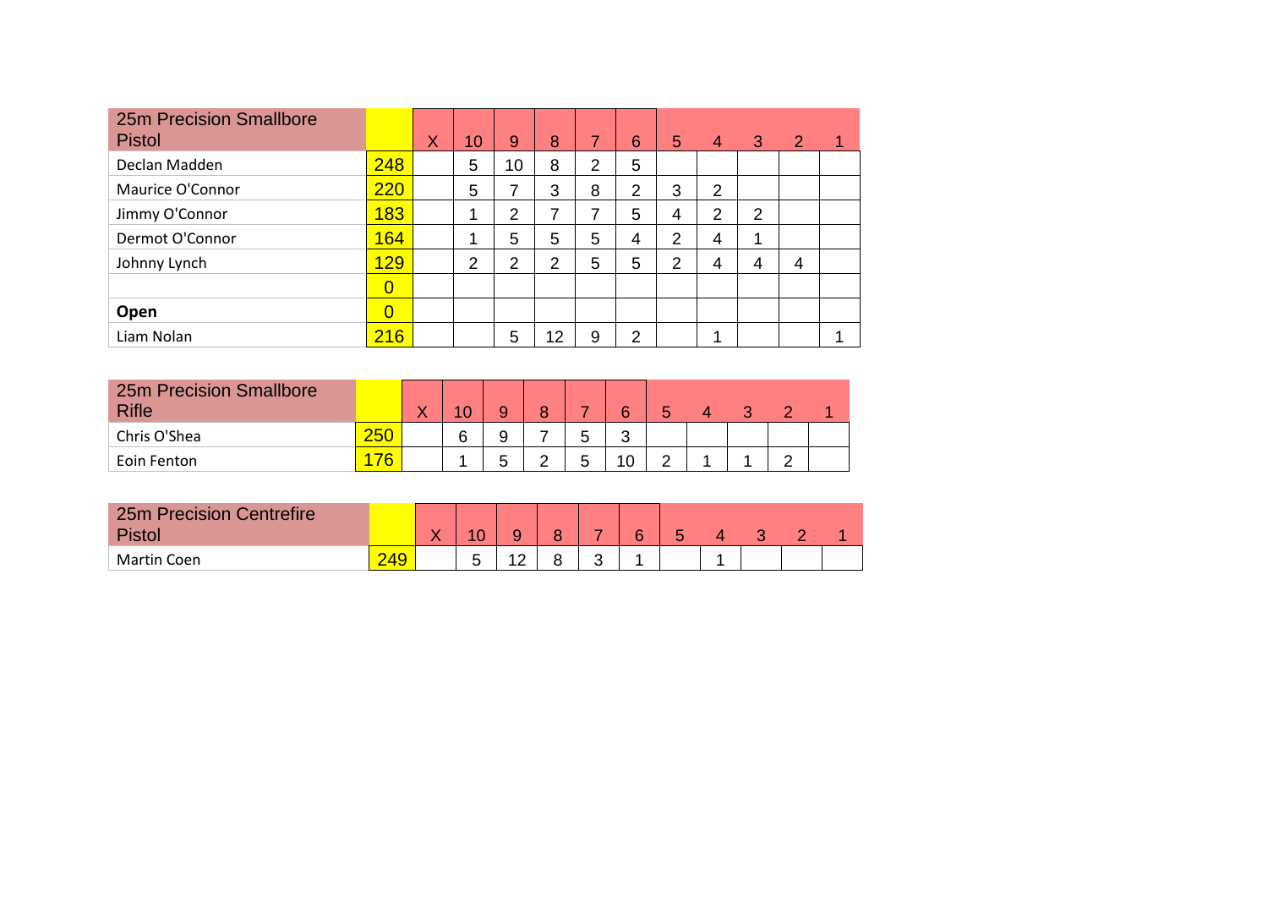| <b>25m Precision Smallbore</b><br><b>Pistol</b> |                | X | 10 <sup>°</sup> | 9              | 8              | 7              | 6              | 5              | 4 | 3              | $\mathbf{2}$ | 1 |
|-------------------------------------------------|----------------|---|-----------------|----------------|----------------|----------------|----------------|----------------|---|----------------|--------------|---|
| Declan Madden                                   | 248            |   | 5               | 10             | 8              | $\overline{2}$ | 5              |                |   |                |              |   |
| Maurice O'Connor                                | 220            |   | 5               | 7              | 3              | 8              | $\overline{2}$ | 3              | 2 |                |              |   |
| Jimmy O'Connor                                  | 183            |   |                 | 2              | 7              | 7              | 5              | 4              | 2 | $\overline{2}$ |              |   |
| Dermot O'Connor                                 | 164            |   |                 | 5              | 5              | 5              | 4              | $\overline{2}$ | 4 | ۸              |              |   |
| Johnny Lynch                                    | 129            |   | 2               | $\overline{2}$ | $\overline{2}$ | 5              | 5              | 2              | 4 | 4              | 4            |   |
|                                                 | $\overline{0}$ |   |                 |                |                |                |                |                |   |                |              |   |
| Open                                            | $\overline{0}$ |   |                 |                |                |                |                |                |   |                |              |   |
| Liam Nolan                                      | 216            |   |                 | 5              | 12             | 9              | 2              |                | 4 |                |              |   |

| <b>25m Precision Smallbore</b><br><b>Rifle</b> |     | w |   |   | $\circ$ |   | 6      |  |  |  |
|------------------------------------------------|-----|---|---|---|---------|---|--------|--|--|--|
| Chris O'Shea                                   | 250 |   | 6 |   |         | 5 | ⌒<br>J |  |  |  |
| Eoin Fenton                                    | 76  |   |   | ∽ |         | 5 | 10     |  |  |  |

| <b>25m Precision Centrefire</b><br><b>Pisto</b> |     | $\sqrt{2}$ |                 | Ω |             | G |  |  |  |
|-------------------------------------------------|-----|------------|-----------------|---|-------------|---|--|--|--|
| Martin Coen                                     | 249 |            | $\sqrt{2}$<br>_ |   | $\sim$<br>ີ |   |  |  |  |